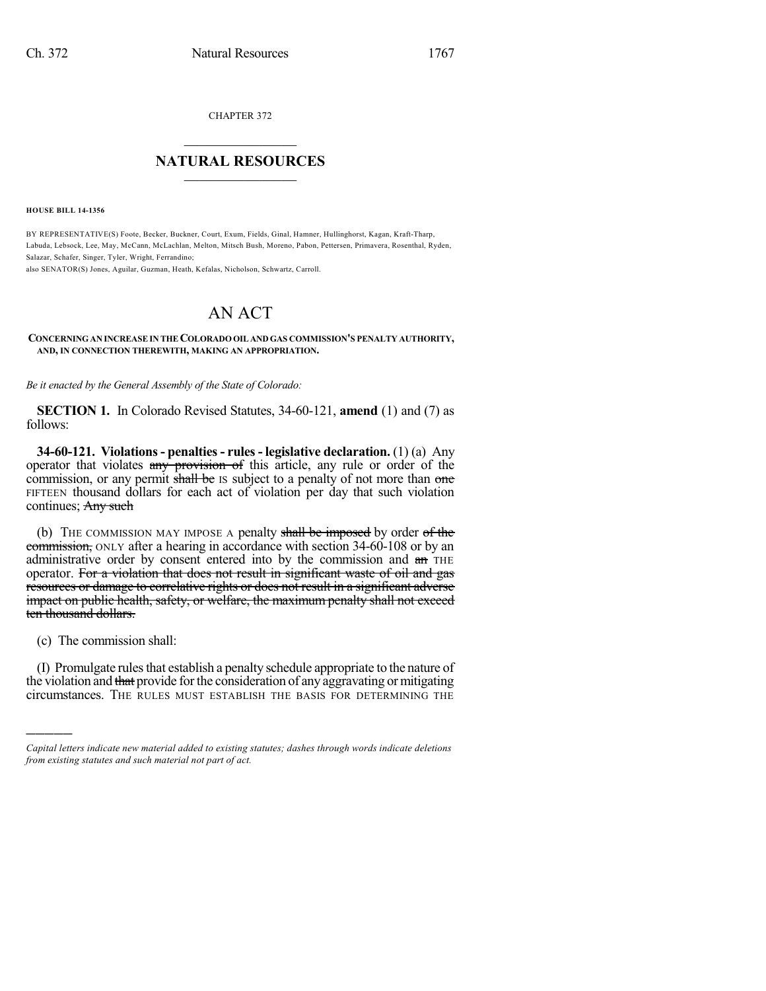CHAPTER 372

## $\overline{\phantom{a}}$  . The set of the set of the set of the set of the set of the set of the set of the set of the set of the set of the set of the set of the set of the set of the set of the set of the set of the set of the set o **NATURAL RESOURCES**  $\frac{1}{\sqrt{2}}$  , where  $\frac{1}{\sqrt{2}}$  ,  $\frac{1}{\sqrt{2}}$  ,  $\frac{1}{\sqrt{2}}$

**HOUSE BILL 14-1356**

BY REPRESENTATIVE(S) Foote, Becker, Buckner, Court, Exum, Fields, Ginal, Hamner, Hullinghorst, Kagan, Kraft-Tharp, Labuda, Lebsock, Lee, May, McCann, McLachlan, Melton, Mitsch Bush, Moreno, Pabon, Pettersen, Primavera, Rosenthal, Ryden, Salazar, Schafer, Singer, Tyler, Wright, Ferrandino;

also SENATOR(S) Jones, Aguilar, Guzman, Heath, Kefalas, Nicholson, Schwartz, Carroll.

## AN ACT

## **CONCERNINGAN INCREASEIN THECOLORADOOIL AND GAS COMMISSION'S PENALTY AUTHORITY, AND, IN CONNECTION THEREWITH, MAKING AN APPROPRIATION.**

*Be it enacted by the General Assembly of the State of Colorado:*

**SECTION 1.** In Colorado Revised Statutes, 34-60-121, **amend** (1) and (7) as follows:

**34-60-121. Violations- penalties- rules- legislative declaration.** (1) (a) Any operator that violates any provision of this article, any rule or order of the commission, or any permit shall be IS subject to a penalty of not more than one FIFTEEN thousand dollars for each act of violation per day that such violation continues; Any such

(b) THE COMMISSION MAY IMPOSE A penalty shall be imposed by order of the commission, ONLY after a hearing in accordance with section 34-60-108 or by an administrative order by consent entered into by the commission and an THE operator. For a violation that does not result in significant waste of oil and gas resources or damage to correlative rights or does not result in a significant adverse impact on public health, safety, or welfare, the maximum penalty shall not exceed ten thousand dollars.

(c) The commission shall:

)))))

(I) Promulgate rules that establish a penalty schedule appropriate to the nature of the violation and that provide for the consideration of any aggravating or mitigating circumstances. THE RULES MUST ESTABLISH THE BASIS FOR DETERMINING THE

*Capital letters indicate new material added to existing statutes; dashes through words indicate deletions from existing statutes and such material not part of act.*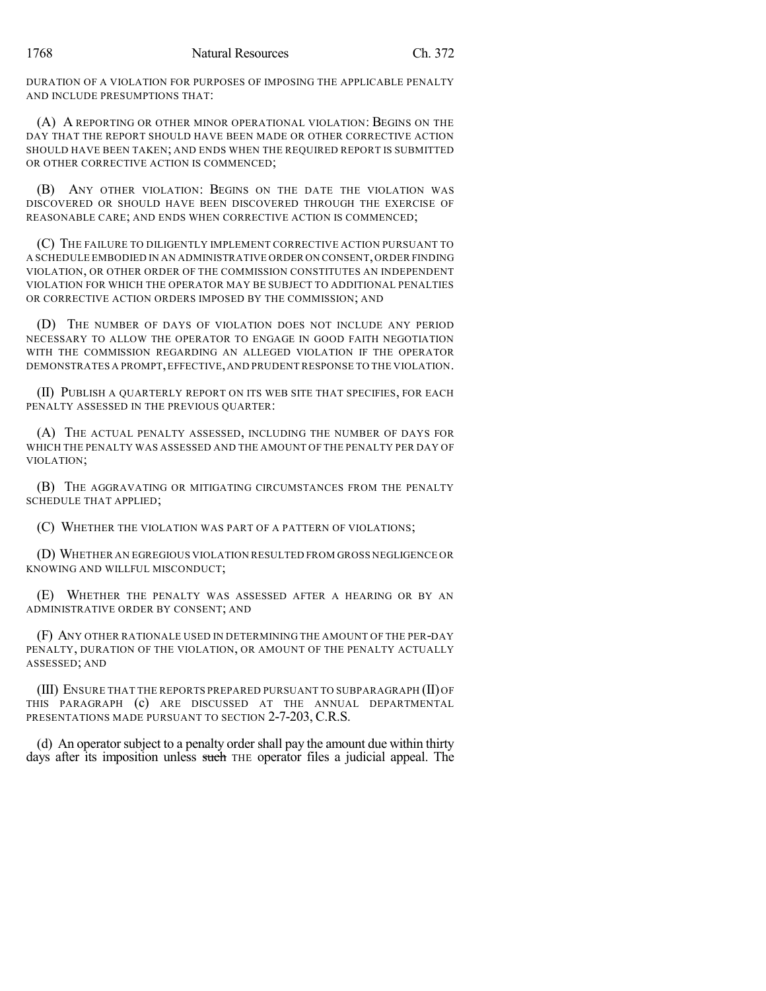DURATION OF A VIOLATION FOR PURPOSES OF IMPOSING THE APPLICABLE PENALTY AND INCLUDE PRESUMPTIONS THAT:

(A) A REPORTING OR OTHER MINOR OPERATIONAL VIOLATION: BEGINS ON THE DAY THAT THE REPORT SHOULD HAVE BEEN MADE OR OTHER CORRECTIVE ACTION SHOULD HAVE BEEN TAKEN; AND ENDS WHEN THE REQUIRED REPORT IS SUBMITTED OR OTHER CORRECTIVE ACTION IS COMMENCED;

(B) ANY OTHER VIOLATION: BEGINS ON THE DATE THE VIOLATION WAS DISCOVERED OR SHOULD HAVE BEEN DISCOVERED THROUGH THE EXERCISE OF REASONABLE CARE; AND ENDS WHEN CORRECTIVE ACTION IS COMMENCED;

(C) THE FAILURE TO DILIGENTLY IMPLEMENT CORRECTIVE ACTION PURSUANT TO A SCHEDULE EMBODIED IN AN ADMINISTRATIVE ORDER ON CONSENT,ORDER FINDING VIOLATION, OR OTHER ORDER OF THE COMMISSION CONSTITUTES AN INDEPENDENT VIOLATION FOR WHICH THE OPERATOR MAY BE SUBJECT TO ADDITIONAL PENALTIES OR CORRECTIVE ACTION ORDERS IMPOSED BY THE COMMISSION; AND

(D) THE NUMBER OF DAYS OF VIOLATION DOES NOT INCLUDE ANY PERIOD NECESSARY TO ALLOW THE OPERATOR TO ENGAGE IN GOOD FAITH NEGOTIATION WITH THE COMMISSION REGARDING AN ALLEGED VIOLATION IF THE OPERATOR DEMONSTRATES A PROMPT,EFFECTIVE,AND PRUDENT RESPONSE TO THE VIOLATION.

(II) PUBLISH A QUARTERLY REPORT ON ITS WEB SITE THAT SPECIFIES, FOR EACH PENALTY ASSESSED IN THE PREVIOUS QUARTER:

(A) THE ACTUAL PENALTY ASSESSED, INCLUDING THE NUMBER OF DAYS FOR WHICH THE PENALTY WAS ASSESSED AND THE AMOUNT OF THE PENALTY PER DAY OF VIOLATION;

(B) THE AGGRAVATING OR MITIGATING CIRCUMSTANCES FROM THE PENALTY SCHEDULE THAT APPLIED;

(C) WHETHER THE VIOLATION WAS PART OF A PATTERN OF VIOLATIONS;

(D) WHETHER AN EGREGIOUS VIOLATION RESULTED FROM GROSS NEGLIGENCE OR KNOWING AND WILLFUL MISCONDUCT;

(E) WHETHER THE PENALTY WAS ASSESSED AFTER A HEARING OR BY AN ADMINISTRATIVE ORDER BY CONSENT; AND

(F) ANY OTHER RATIONALE USED IN DETERMINING THE AMOUNT OF THE PER-DAY PENALTY, DURATION OF THE VIOLATION, OR AMOUNT OF THE PENALTY ACTUALLY ASSESSED; AND

(III) ENSURE THAT THE REPORTS PREPARED PURSUANT TO SUBPARAGRAPH (II) OF THIS PARAGRAPH (c) ARE DISCUSSED AT THE ANNUAL DEPARTMENTAL PRESENTATIONS MADE PURSUANT TO SECTION 2-7-203, C.R.S.

(d) An operator subject to a penalty order shall pay the amount due within thirty days after its imposition unless such THE operator files a judicial appeal. The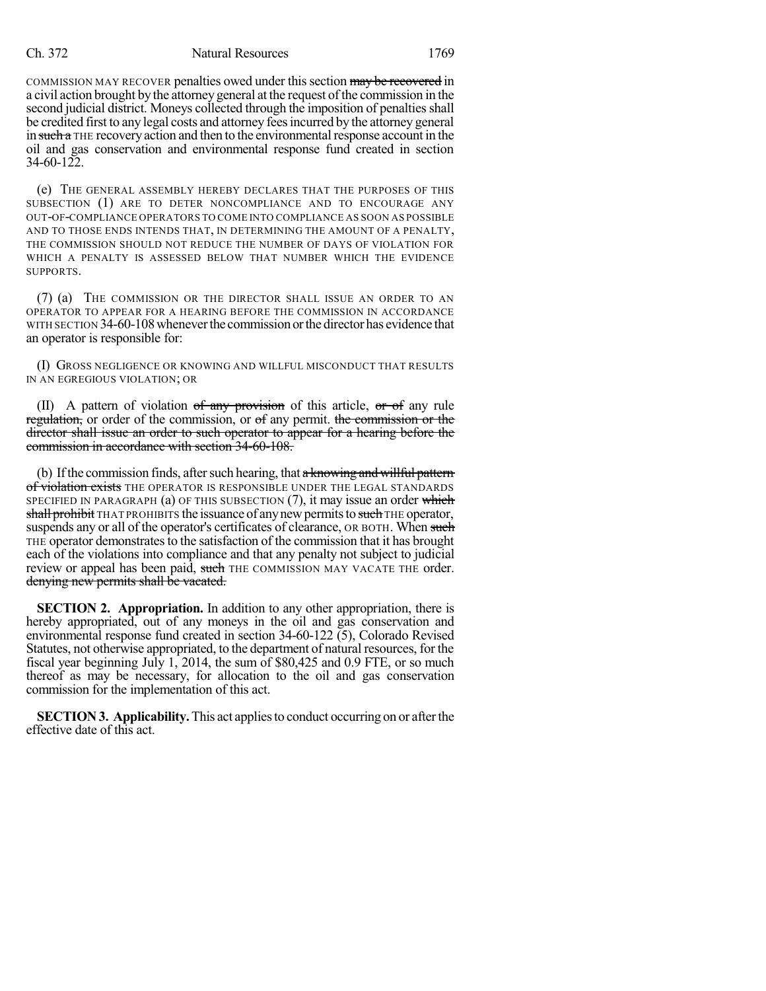## Ch. 372 Natural Resources 1769

COMMISSION MAY RECOVER penalties owed under this section may be recovered in a civil action brought by the attorney general at the request ofthe commission in the second judicial district. Moneys collected through the imposition of penalties shall be credited first to any legal costs and attorney feesincurred by the attorney general in such a THE recovery action and then to the environmental response account in the oil and gas conservation and environmental response fund created in section 34-60-122.

(e) THE GENERAL ASSEMBLY HEREBY DECLARES THAT THE PURPOSES OF THIS SUBSECTION (1) ARE TO DETER NONCOMPLIANCE AND TO ENCOURAGE ANY OUT-OF-COMPLIANCE OPERATORS TO COME INTO COMPLIANCE AS SOON AS POSSIBLE AND TO THOSE ENDS INTENDS THAT, IN DETERMINING THE AMOUNT OF A PENALTY, THE COMMISSION SHOULD NOT REDUCE THE NUMBER OF DAYS OF VIOLATION FOR WHICH A PENALTY IS ASSESSED BELOW THAT NUMBER WHICH THE EVIDENCE SUPPORTS.

(7) (a) THE COMMISSION OR THE DIRECTOR SHALL ISSUE AN ORDER TO AN OPERATOR TO APPEAR FOR A HEARING BEFORE THE COMMISSION IN ACCORDANCE WITH SECTION 34-60-108 whenever the commission or the director has evidence that an operator is responsible for:

(I) GROSS NEGLIGENCE OR KNOWING AND WILLFUL MISCONDUCT THAT RESULTS IN AN EGREGIOUS VIOLATION; OR

(II) A pattern of violation of any provision of this article, or of any rule regulation, or order of the commission, or of any permit. the commission or the director shall issue an order to such operator to appear for a hearing before the commission in accordance with section 34-60-108.

(b) If the commission finds, after such hearing, that  $a$  knowing and willful pattern of violation exists THE OPERATOR IS RESPONSIBLE UNDER THE LEGAL STANDARDS SPECIFIED IN PARAGRAPH (a) OF THIS SUBSECTION  $(7)$ , it may issue an order which shall prohibit THAT PROHIBITS the issuance of any new permits to such THE operator, suspends any or all of the operator's certificates of clearance, OR BOTH. When such THE operator demonstratesto the satisfaction of the commission that it has brought each of the violations into compliance and that any penalty not subject to judicial review or appeal has been paid, such THE COMMISSION MAY VACATE THE order. denying new permits shall be vacated.

**SECTION 2. Appropriation.** In addition to any other appropriation, there is hereby appropriated, out of any moneys in the oil and gas conservation and environmental response fund created in section 34-60-122 (5), Colorado Revised Statutes, not otherwise appropriated, to the department of natural resources, for the fiscal year beginning July 1, 2014, the sum of \$80,425 and 0.9 FTE, or so much thereof as may be necessary, for allocation to the oil and gas conservation commission for the implementation of this act.

**SECTION 3. Applicability.** This act applies to conduct occurring on or after the effective date of this act.